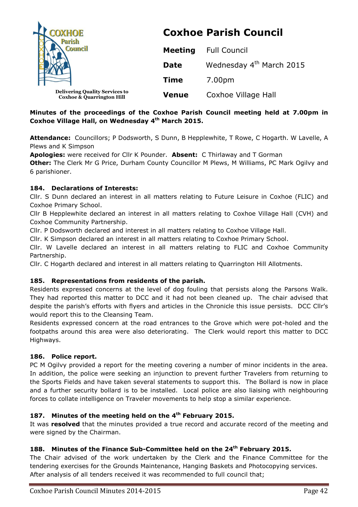| <b>OXHOE</b><br><b>Council</b>                                                | <b>Coxhoe Parish Council</b> |                                      |  |
|-------------------------------------------------------------------------------|------------------------------|--------------------------------------|--|
|                                                                               | <b>Meeting</b>               | <b>Full Council</b>                  |  |
|                                                                               | <b>Date</b>                  | Wednesday 4 <sup>th</sup> March 2015 |  |
|                                                                               | <b>Time</b>                  | 7.00pm                               |  |
| <b>Delivering Quality Services to</b><br><b>Coxhoe &amp; Quarrington Hill</b> | <b>Venue</b>                 | Coxhoe Village Hall                  |  |

## **Minutes of the proceedings of the Coxhoe Parish Council meeting held at 7.00pm in Coxhoe Village Hall, on Wednesday 4 th March 2015.**

**Attendance:** Councillors; P Dodsworth, S Dunn, B Hepplewhite, T Rowe, C Hogarth. W Lavelle, A Plews and K Simpson

**Apologies:** were received for Cllr K Pounder. **Absent:** C Thirlaway and T Gorman

**Other:** The Clerk Mr G Price, Durham County Councillor M Plews, M Williams, PC Mark Ogilvy and 6 parishioner.

### **184. Declarations of Interests:**

Cllr. S Dunn declared an interest in all matters relating to Future Leisure in Coxhoe (FLIC) and Coxhoe Primary School.

Cllr B Hepplewhite declared an interest in all matters relating to Coxhoe Village Hall (CVH) and Coxhoe Community Partnership.

Cllr. P Dodsworth declared and interest in all matters relating to Coxhoe Village Hall.

Cllr. K Simpson declared an interest in all matters relating to Coxhoe Primary School.

Cllr. W Lavelle declared an interest in all matters relating to FLIC and Coxhoe Community Partnership.

Cllr. C Hogarth declared and interest in all matters relating to Quarrington Hill Allotments.

#### **185. Representations from residents of the parish.**

Residents expressed concerns at the level of dog fouling that persists along the Parsons Walk. They had reported this matter to DCC and it had not been cleaned up. The chair advised that despite the parish's efforts with flyers and articles in the Chronicle this issue persists. DCC Cllr's would report this to the Cleansing Team.

Residents expressed concern at the road entrances to the Grove which were pot-holed and the footpaths around this area were also deteriorating. The Clerk would report this matter to DCC Highways.

#### **186. Police report.**

PC M Ogilvy provided a report for the meeting covering a number of minor incidents in the area. In addition, the police were seeking an injunction to prevent further Travelers from returning to the Sports Fields and have taken several statements to support this. The Bollard is now in place and a further security bollard is to be installed. Local police are also liaising with neighbouring forces to collate intelligence on Traveler movements to help stop a similar experience.

#### **187. Minutes of the meeting held on the 4 th February 2015.**

It was **resolved** that the minutes provided a true record and accurate record of the meeting and were signed by the Chairman.

#### **188. Minutes of the Finance Sub-Committee held on the 24th February 2015.**

The Chair advised of the work undertaken by the Clerk and the Finance Committee for the tendering exercises for the Grounds Maintenance, Hanging Baskets and Photocopying services. After analysis of all tenders received it was recommended to full council that;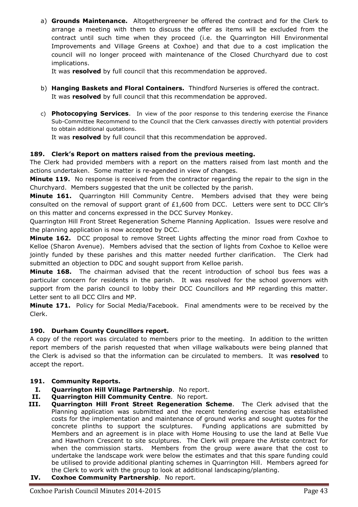a) **Grounds Maintenance.** Altogethergreener be offered the contract and for the Clerk to arrange a meeting with them to discuss the offer as items will be excluded from the contract until such time when they proceed (i.e. the Quarrington Hill Environmental Improvements and Village Greens at Coxhoe) and that due to a cost implication the council will no longer proceed with maintenance of the Closed Churchyard due to cost implications.

It was **resolved** by full council that this recommendation be approved.

- b) **Hanging Baskets and Floral Containers.** Thindford Nurseries is offered the contract. It was **resolved** by full council that this recommendation be approved.
- c) **Photocopying Services**. In view of the poor response to this tendering exercise the Finance Sub-Committee Recommend to the Council that the Clerk canvasses directly with potential providers to obtain additional quotations.

It was **resolved** by full council that this recommendation be approved.

### **189. Clerk's Report on matters raised from the previous meeting.**

The Clerk had provided members with a report on the matters raised from last month and the actions undertaken. Some matter is re-agended in view of changes.

**Minute 119.** No response is received from the contractor regarding the repair to the sign in the Churchyard. Members suggested that the unit be collected by the parish.

**Minute 161.** Quarrington Hill Community Centre. Members advised that they were being consulted on the removal of support grant of  $£1,600$  from DCC. Letters were sent to DCC Cllr's on this matter and concerns expressed in the DCC Survey Monkey.

Quarrington Hill Front Street Regeneration Scheme Planning Application. Issues were resolve and the planning application is now accepted by DCC.

**Minute 162.** DCC proposal to remove Street Lights affecting the minor road from Coxhoe to Kelloe (Sharon Avenue). Members advised that the section of lights from Coxhoe to Kelloe were jointly funded by these parishes and this matter needed further clarification. The Clerk had submitted an objection to DDC and sought support from Kelloe parish.

**Minute 168.** The chairman advised that the recent introduction of school bus fees was a particular concern for residents in the parish. It was resolved for the school governors with support from the parish council to lobby their DCC Councillors and MP regarding this matter. Letter sent to all DCC Cllrs and MP.

**Minute 171.** Policy for Social Media/Facebook. Final amendments were to be received by the Clerk.

## **190. Durham County Councillors report.**

A copy of the report was circulated to members prior to the meeting. In addition to the written report members of the parish requested that when village walkabouts were being planned that the Clerk is advised so that the information can be circulated to members. It was **resolved** to accept the report.

#### **191. Community Reports.**

- **I. Quarrington Hill Village Partnership**. No report.
- **II. Quarrington Hill Community Centre**. No report.
- **III. Quarrington Hill Front Street Regeneration Scheme**. The Clerk advised that the Planning application was submitted and the recent tendering exercise has established costs for the implementation and maintenance of ground works and sought quotes for the concrete plinths to support the sculptures. Funding applications are submitted by Members and an agreement is in place with Home Housing to use the land at Belle Vue and Hawthorn Crescent to site sculptures. The Clerk will prepare the Artiste contract for when the commission starts. Members from the group were aware that the cost to undertake the landscape work were below the estimates and that this spare funding could be utilised to provide additional planting schemes in Quarrington Hill. Members agreed for the Clerk to work with the group to look at additional landscaping/planting.
- **IV. Coxhoe Community Partnership**. No report.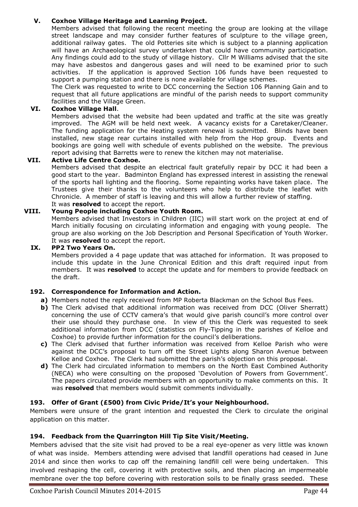## **V. Coxhoe Village Heritage and Learning Project.**

Members advised that following the recent meeting the group are looking at the village street landscape and may consider further features of sculpture to the village green, additional railway gates. The old Potteries site which is subject to a planning application will have an Archaeological survey undertaken that could have community participation. Any findings could add to the study of village history. Cllr M Williams advised that the site may have asbestos and dangerous gases and will need to be examined prior to such activities. If the application is approved Section 106 funds have been requested to support a pumping station and there is none available for village schemes.

The Clerk was requested to write to DCC concerning the Section 106 Planning Gain and to request that all future applications are mindful of the parish needs to support community facilities and the Village Green.

# **VI. Coxhoe Village Hall**.

Members advised that the website had been updated and traffic at the site was greatly improved. The AGM will be held next week. A vacancy exists for a Caretaker/Cleaner. The funding application for the Heating system renewal is submitted. Blinds have been installed, new stage rear curtains installed with help from the Hop group. Events and bookings are going well with schedule of events published on the website. The previous report advising that Barretts were to renew the kitchen may not materialise.

## **VII. Active Life Centre Coxhoe.**

Members advised that despite an electrical fault gratefully repair by DCC it had been a good start to the year. Badminton England has expressed interest in assisting the renewal of the sports hall lighting and the flooring. Some repainting works have taken place. The Trustees give their thanks to the volunteers who help to distribute the leaflet with Chronicle. A member of staff is leaving and this will allow a further review of staffing. It was **resolved** to accept the report.

## **VIII. Young People including Coxhoe Youth Room.**

Members advised that Investors in Children (IIC) will start work on the project at end of March initially focusing on circulating information and engaging with young people. The group are also working on the Job Description and Personal Specification of Youth Worker. It was **resolved** to accept the report.

### **IX. PP2 Two Years On.**

Members provided a 4 page update that was attached for information. It was proposed to include this update in the June Chronical Edition and this draft required input from members. It was **resolved** to accept the update and for members to provide feedback on the draft.

#### **192. Correspondence for Information and Action.**

- **a)** Members noted the reply received from MP Roberta Blackman on the School Bus Fees.
- **b**) The Clerk advised that additional information was received from DCC (Oliver Sherratt) concerning the use of CCTV camera's that would give parish council's more control over their use should they purchase one. In view of this the Clerk was requested to seek additional information from DCC (statistics on Fly-Tipping in the parishes of Kelloe and Coxhoe) to provide further information for the council's deliberations.
- **c)** The Clerk advised that further information was received from Kelloe Parish who were against the DCC's proposal to turn off the Street Lights along Sharon Avenue between Kelloe and Coxhoe. The Clerk had submitted the parish's objection on this proposal.
- **d)** The Clerk had circulated information to members on the North East Combined Authority (NECA) who were consulting on the proposed 'Devolution of Powers from Government'. The papers circulated provide members with an opportunity to make comments on this. It was **resolved** that members would submit comments individually.

## **193. Offer of Grant (£500) from Civic Pride/It's your Neighbourhood.**

Members were unsure of the grant intention and requested the Clerk to circulate the original application on this matter.

#### **194. Feedback from the Quarrington Hill Tip Site Visit/Meeting.**

Members advised that the site visit had proved to be a real eye-opener as very little was known of what was inside. Members attending were advised that landfill operations had ceased in June 2014 and since then works to cap off the remaining landfill cell were being undertaken. This involved reshaping the cell, covering it with protective soils, and then placing an impermeable membrane over the top before covering with restoration soils to be finally grass seeded. These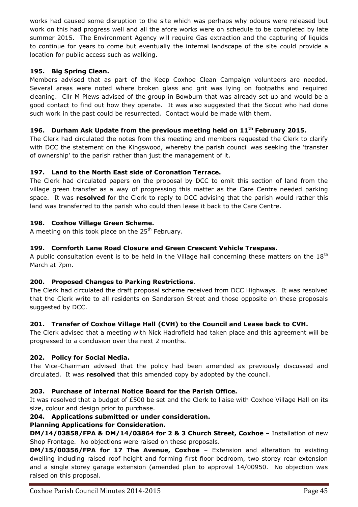works had caused some disruption to the site which was perhaps why odours were released but work on this had progress well and all the afore works were on schedule to be completed by late summer 2015. The Environment Agency will require Gas extraction and the capturing of liquids to continue for years to come but eventually the internal landscape of the site could provide a location for public access such as walking.

### **195. Big Spring Clean.**

Members advised that as part of the Keep Coxhoe Clean Campaign volunteers are needed. Several areas were noted where broken glass and grit was lying on footpaths and required cleaning. Cllr M Plews advised of the group in Bowburn that was already set up and would be a good contact to find out how they operate. It was also suggested that the Scout who had done such work in the past could be resurrected. Contact would be made with them.

## **196. Durham Ask Update from the previous meeting held on 11th February 2015.**

The Clerk had circulated the notes from this meeting and members requested the Clerk to clarify with DCC the statement on the Kingswood, whereby the parish council was seeking the 'transfer of ownership' to the parish rather than just the management of it.

### **197. Land to the North East side of Coronation Terrace.**

The Clerk had circulated papers on the proposal by DCC to omit this section of land from the village green transfer as a way of progressing this matter as the Care Centre needed parking space. It was **resolved** for the Clerk to reply to DCC advising that the parish would rather this land was transferred to the parish who could then lease it back to the Care Centre.

### **198. Coxhoe Village Green Scheme.**

A meeting on this took place on the  $25<sup>th</sup>$  February.

### **199. Cornforth Lane Road Closure and Green Crescent Vehicle Trespass.**

A public consultation event is to be held in the Village hall concerning these matters on the  $18<sup>th</sup>$ March at 7pm.

## **200. Proposed Changes to Parking Restrictions**.

The Clerk had circulated the draft proposal scheme received from DCC Highways. It was resolved that the Clerk write to all residents on Sanderson Street and those opposite on these proposals suggested by DCC.

## **201. Transfer of Coxhoe Village Hall (CVH) to the Council and Lease back to CVH.**

The Clerk advised that a meeting with Nick Hadrofield had taken place and this agreement will be progressed to a conclusion over the next 2 months.

#### **202. Policy for Social Media.**

The Vice-Chairman advised that the policy had been amended as previously discussed and circulated. It was **resolved** that this amended copy by adopted by the council.

#### **203. Purchase of internal Notice Board for the Parish Office.**

It was resolved that a budget of £500 be set and the Clerk to liaise with Coxhoe Village Hall on its size, colour and design prior to purchase.

#### **204. Applications submitted or under consideration.**

#### **Planning Applications for Consideration.**

**DM/14/03858/FPA & DM/14/03864 for 2 & 3 Church Street, Coxhoe** – Installation of new Shop Frontage. No objections were raised on these proposals.

**DM/15/00356/FPA for 17 The Avenue, Coxhoe** – Extension and alteration to existing dwelling including raised roof height and forming first floor bedroom, two storey rear extension and a single storey garage extension (amended plan to approval 14/00950. No objection was raised on this proposal.